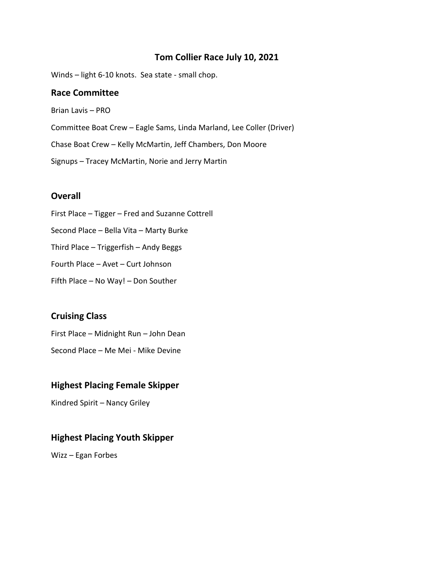### **Tom Collier Race July 10, 2021**

Winds – light 6-10 knots. Sea state - small chop.

#### **Race Committee**

Brian Lavis – PRO Committee Boat Crew – Eagle Sams, Linda Marland, Lee Coller (Driver) Chase Boat Crew – Kelly McMartin, Jeff Chambers, Don Moore Signups – Tracey McMartin, Norie and Jerry Martin

#### **Overall**

First Place – Tigger – Fred and Suzanne Cottrell Second Place – Bella Vita – Marty Burke Third Place – Triggerfish – Andy Beggs Fourth Place – Avet – Curt Johnson Fifth Place – No Way! – Don Souther

#### **Cruising Class**

First Place – Midnight Run – John Dean Second Place – Me Mei - Mike Devine

#### **Highest Placing Female Skipper**

Kindred Spirit – Nancy Griley

## **Highest Placing Youth Skipper**

Wizz – Egan Forbes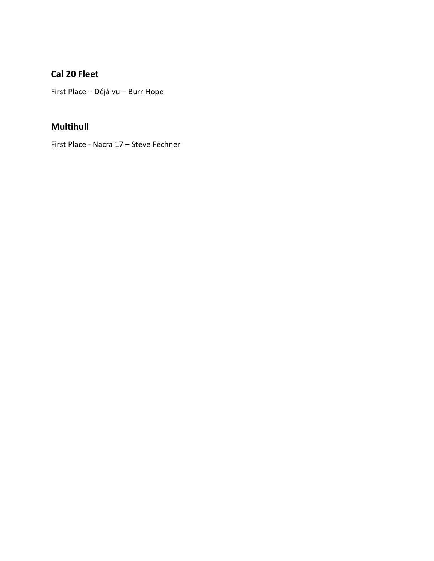# Cal 20 Fleet

First Place - Déjà vu - Burr Hope

## **Multihull**

First Place - Nacra 17 - Steve Fechner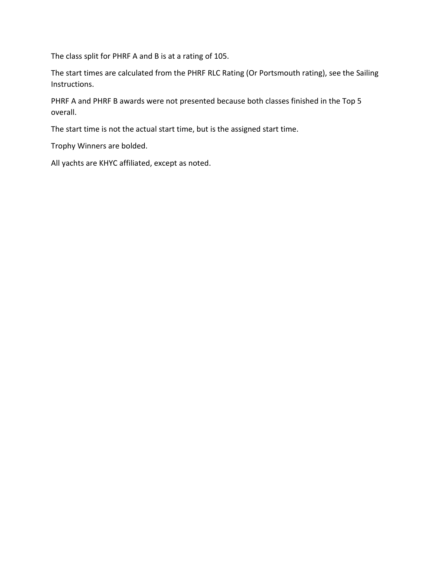The class split for PHRF A and B is at a rating of 105.

The start times are calculated from the PHRF RLC Rating (Or Portsmouth rating), see the Sailing Instructions.

PHRF A and PHRF B awards were not presented because both classes finished in the Top 5 overall.

The start time is not the actual start time, but is the assigned start time.

Trophy Winners are bolded.

All yachts are KHYC affiliated, except as noted.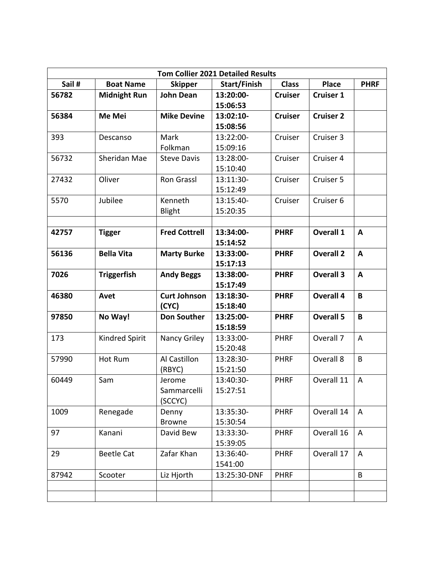| <b>Tom Collier 2021 Detailed Results</b> |                     |                      |              |                |                  |                |  |  |  |  |  |
|------------------------------------------|---------------------|----------------------|--------------|----------------|------------------|----------------|--|--|--|--|--|
| Sail #                                   | <b>Boat Name</b>    | <b>Skipper</b>       | Start/Finish | <b>Class</b>   | <b>Place</b>     | <b>PHRF</b>    |  |  |  |  |  |
| 56782                                    | <b>Midnight Run</b> | <b>John Dean</b>     | 13:20:00-    | <b>Cruiser</b> | <b>Cruiser 1</b> |                |  |  |  |  |  |
|                                          |                     |                      | 15:06:53     |                |                  |                |  |  |  |  |  |
| 56384                                    | Me Mei              | <b>Mike Devine</b>   | 13:02:10-    | <b>Cruiser</b> | <b>Cruiser 2</b> |                |  |  |  |  |  |
|                                          |                     |                      | 15:08:56     |                |                  |                |  |  |  |  |  |
| 393                                      | Descanso            | <b>Mark</b>          | 13:22:00-    | Cruiser        | Cruiser 3        |                |  |  |  |  |  |
|                                          |                     | Folkman              | 15:09:16     |                |                  |                |  |  |  |  |  |
| 56732                                    | Sheridan Mae        | <b>Steve Davis</b>   | 13:28:00-    | Cruiser        | Cruiser 4        |                |  |  |  |  |  |
|                                          |                     |                      | 15:10:40     |                |                  |                |  |  |  |  |  |
| 27432                                    | Oliver              | <b>Ron Grassl</b>    | 13:11:30-    | Cruiser        | Cruiser 5        |                |  |  |  |  |  |
|                                          |                     |                      | 15:12:49     |                |                  |                |  |  |  |  |  |
| 5570                                     | Jubilee             | Kenneth              | 13:15:40-    | Cruiser        | Cruiser 6        |                |  |  |  |  |  |
|                                          |                     | Blight               | 15:20:35     |                |                  |                |  |  |  |  |  |
|                                          |                     |                      |              |                |                  |                |  |  |  |  |  |
| 42757                                    | <b>Tigger</b>       | <b>Fred Cottrell</b> | 13:34:00-    | <b>PHRF</b>    | <b>Overall 1</b> | A              |  |  |  |  |  |
|                                          |                     |                      | 15:14:52     |                |                  |                |  |  |  |  |  |
| 56136                                    | <b>Bella Vita</b>   | <b>Marty Burke</b>   | 13:33:00-    | <b>PHRF</b>    | <b>Overall 2</b> | A              |  |  |  |  |  |
|                                          |                     |                      | 15:17:13     |                |                  |                |  |  |  |  |  |
| 7026                                     | <b>Triggerfish</b>  | <b>Andy Beggs</b>    | 13:38:00-    | <b>PHRF</b>    | <b>Overall 3</b> | A              |  |  |  |  |  |
|                                          |                     |                      | 15:17:49     |                |                  |                |  |  |  |  |  |
| 46380                                    | Avet                | <b>Curt Johnson</b>  | 13:18:30-    | <b>PHRF</b>    | <b>Overall 4</b> | B              |  |  |  |  |  |
|                                          |                     | (CYC)                | 15:18:40     |                |                  |                |  |  |  |  |  |
| 97850                                    | No Way!             | <b>Don Souther</b>   | 13:25:00-    | <b>PHRF</b>    | <b>Overall 5</b> | B              |  |  |  |  |  |
|                                          |                     |                      | 15:18:59     |                |                  |                |  |  |  |  |  |
| 173                                      | Kindred Spirit      | Nancy Griley         | 13:33:00-    | <b>PHRF</b>    | Overall 7        | $\overline{A}$ |  |  |  |  |  |
|                                          |                     |                      | 15:20:48     |                |                  |                |  |  |  |  |  |
| 57990                                    | Hot Rum             | Al Castillon         | 13:28:30-    | <b>PHRF</b>    | Overall 8        | B              |  |  |  |  |  |
|                                          |                     | (RBYC)               | 15:21:50     |                |                  |                |  |  |  |  |  |
| 60449                                    | Sam                 | Jerome               | 13:40:30-    | <b>PHRF</b>    | Overall 11       | $\overline{A}$ |  |  |  |  |  |
|                                          |                     | Sammarcelli          | 15:27:51     |                |                  |                |  |  |  |  |  |
|                                          |                     | (SCCYC)              |              |                |                  |                |  |  |  |  |  |
| 1009                                     | Renegade            | Denny                | 13:35:30-    | <b>PHRF</b>    | Overall 14       | A              |  |  |  |  |  |
|                                          |                     | <b>Browne</b>        | 15:30:54     |                |                  |                |  |  |  |  |  |
| 97                                       | Kanani              | David Bew            | 13:33:30-    | <b>PHRF</b>    | Overall 16       | A              |  |  |  |  |  |
|                                          |                     |                      | 15:39:05     |                |                  |                |  |  |  |  |  |
| 29                                       | <b>Beetle Cat</b>   | Zafar Khan           | 13:36:40-    | <b>PHRF</b>    | Overall 17       | A              |  |  |  |  |  |
|                                          |                     |                      | 1541:00      |                |                  |                |  |  |  |  |  |
| 87942                                    | Scooter             | Liz Hjorth           | 13:25:30-DNF | <b>PHRF</b>    |                  | B              |  |  |  |  |  |
|                                          |                     |                      |              |                |                  |                |  |  |  |  |  |
|                                          |                     |                      |              |                |                  |                |  |  |  |  |  |